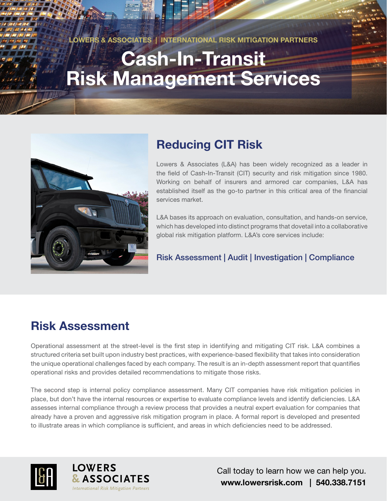**LOWERS & ASSOCIATES | INTERNATIONAL RISK MITIGATION PARTNERS**

# **Cash-In-Transit Risk Management Services**



# **Reducing CIT Risk**

Lowers & Associates (L&A) has been widely recognized as a leader in the field of Cash-In-Transit (CIT) security and risk mitigation since 1980. Working on behalf of insurers and armored car companies, L&A has established itself as the go-to partner in this critical area of the financial services market.

L&A bases its approach on evaluation, consultation, and hands-on service, which has developed into distinct programs that dovetail into a collaborative global risk mitigation platform. L&A's core services include:

### Risk Assessment | Audit | Investigation | Compliance

## **Risk Assessment**

Operational assessment at the street-level is the first step in identifying and mitigating CIT risk. L&A combines a structured criteria set built upon industry best practices, with experience-based flexibility that takes into consideration the unique operational challenges faced by each company. The result is an in-depth assessment report that quantifies operational risks and provides detailed recommendations to mitigate those risks.

The second step is internal policy compliance assessment. Many CIT companies have risk mitigation policies in place, but don't have the internal resources or expertise to evaluate compliance levels and identify deficiencies. L&A assesses internal compliance through a review process that provides a neutral expert evaluation for companies that already have a proven and aggressive risk mitigation program in place. A formal report is developed and presented to illustrate areas in which compliance is sufficient, and areas in which deficiencies need to be addressed.





Call today to learn how we can help you. **www.lowersrisk.com | 540.338.7151**